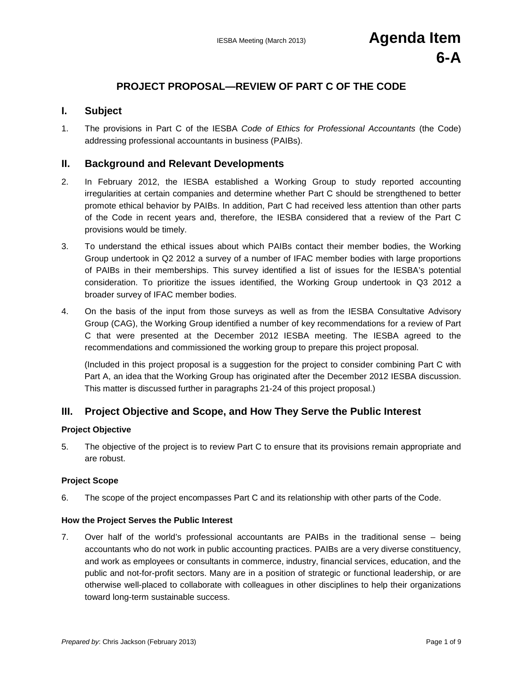# **PROJECT PROPOSAL—REVIEW OF PART C OF THE CODE**

## **I. Subject**

1. The provisions in Part C of the IESBA *Code of Ethics for Professional Accountants* (the Code) addressing professional accountants in business (PAIBs).

## **II. Background and Relevant Developments**

- 2. In February 2012, the IESBA established a Working Group to study reported accounting irregularities at certain companies and determine whether Part C should be strengthened to better promote ethical behavior by PAIBs. In addition, Part C had received less attention than other parts of the Code in recent years and, therefore, the IESBA considered that a review of the Part C provisions would be timely.
- 3. To understand the ethical issues about which PAIBs contact their member bodies, the Working Group undertook in Q2 2012 a survey of a number of IFAC member bodies with large proportions of PAIBs in their memberships. This survey identified a list of issues for the IESBA's potential consideration. To prioritize the issues identified, the Working Group undertook in Q3 2012 a broader survey of IFAC member bodies.
- 4. On the basis of the input from those surveys as well as from the IESBA Consultative Advisory Group (CAG), the Working Group identified a number of key recommendations for a review of Part C that were presented at the December 2012 IESBA meeting. The IESBA agreed to the recommendations and commissioned the working group to prepare this project proposal.

(Included in this project proposal is a suggestion for the project to consider combining Part C with Part A, an idea that the Working Group has originated after the December 2012 IESBA discussion. This matter is discussed further in paragraphs 21-24 of this project proposal.)

## **III. Project Objective and Scope, and How They Serve the Public Interest**

#### **Project Objective**

5. The objective of the project is to review Part C to ensure that its provisions remain appropriate and are robust.

#### **Project Scope**

6. The scope of the project encompasses Part C and its relationship with other parts of the Code.

#### **How the Project Serves the Public Interest**

7. Over half of the world's professional accountants are PAIBs in the traditional sense – being accountants who do not work in public accounting practices. PAIBs are a very diverse constituency, and work as employees or consultants in commerce, industry, financial services, education, and the public and not-for-profit sectors. Many are in a position of strategic or functional leadership, or are otherwise well-placed to collaborate with colleagues in other disciplines to help their organizations toward long-term sustainable success.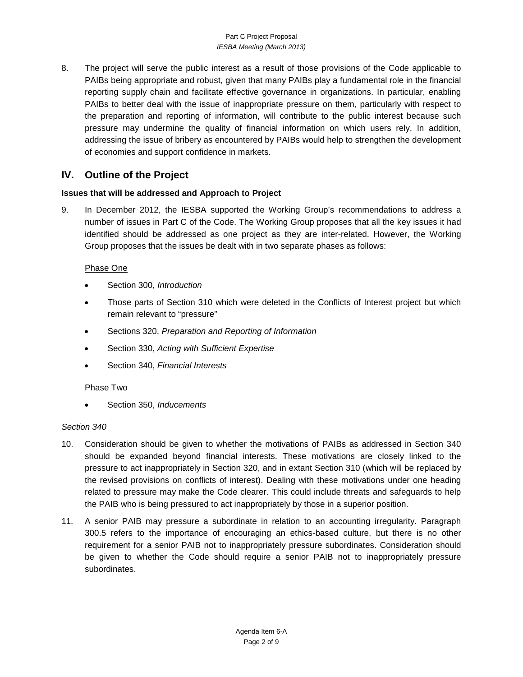#### Part C Project Proposal *IESBA Meeting (March 2013)*

8. The project will serve the public interest as a result of those provisions of the Code applicable to PAIBs being appropriate and robust, given that many PAIBs play a fundamental role in the financial reporting supply chain and facilitate effective governance in organizations. In particular, enabling PAIBs to better deal with the issue of inappropriate pressure on them, particularly with respect to the preparation and reporting of information, will contribute to the public interest because such pressure may undermine the quality of financial information on which users rely. In addition, addressing the issue of bribery as encountered by PAIBs would help to strengthen the development of economies and support confidence in markets.

# **IV. Outline of the Project**

## **Issues that will be addressed and Approach to Project**

9. In December 2012, the IESBA supported the Working Group's recommendations to address a number of issues in Part C of the Code. The Working Group proposes that all the key issues it had identified should be addressed as one project as they are inter-related. However, the Working Group proposes that the issues be dealt with in two separate phases as follows:

## Phase One

- Section 300, *Introduction*
- Those parts of Section 310 which were deleted in the Conflicts of Interest project but which remain relevant to "pressure"
- Sections 320, *Preparation and Reporting of Information*
- Section 330, *Acting with Sufficient Expertise*
- Section 340, *Financial Interests*

## Phase Two

• Section 350, *Inducements*

#### *Section 340*

- 10. Consideration should be given to whether the motivations of PAIBs as addressed in Section 340 should be expanded beyond financial interests. These motivations are closely linked to the pressure to act inappropriately in Section 320, and in extant Section 310 (which will be replaced by the revised provisions on conflicts of interest). Dealing with these motivations under one heading related to pressure may make the Code clearer. This could include threats and safeguards to help the PAIB who is being pressured to act inappropriately by those in a superior position.
- 11. A senior PAIB may pressure a subordinate in relation to an accounting irregularity. Paragraph 300.5 refers to the importance of encouraging an ethics-based culture, but there is no other requirement for a senior PAIB not to inappropriately pressure subordinates. Consideration should be given to whether the Code should require a senior PAIB not to inappropriately pressure subordinates.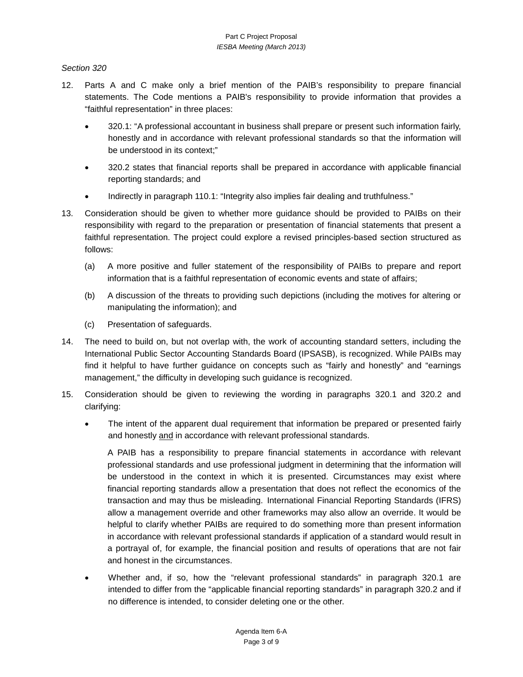### *Section 320*

- 12. Parts A and C make only a brief mention of the PAIB's responsibility to prepare financial statements. The Code mentions a PAIB's responsibility to provide information that provides a "faithful representation" in three places:
	- 320.1: "A professional accountant in business shall prepare or present such information fairly, honestly and in accordance with relevant professional standards so that the information will be understood in its context;"
	- 320.2 states that financial reports shall be prepared in accordance with applicable financial reporting standards; and
	- Indirectly in paragraph 110.1: "Integrity also implies fair dealing and truthfulness."
- 13. Consideration should be given to whether more guidance should be provided to PAIBs on their responsibility with regard to the preparation or presentation of financial statements that present a faithful representation. The project could explore a revised principles-based section structured as follows:
	- (a) A more positive and fuller statement of the responsibility of PAIBs to prepare and report information that is a faithful representation of economic events and state of affairs;
	- (b) A discussion of the threats to providing such depictions (including the motives for altering or manipulating the information); and
	- (c) Presentation of safeguards.
- 14. The need to build on, but not overlap with, the work of accounting standard setters, including the International Public Sector Accounting Standards Board (IPSASB), is recognized. While PAIBs may find it helpful to have further guidance on concepts such as "fairly and honestly" and "earnings management," the difficulty in developing such guidance is recognized.
- 15. Consideration should be given to reviewing the wording in paragraphs 320.1 and 320.2 and clarifying:
	- The intent of the apparent dual requirement that information be prepared or presented fairly and honestly and in accordance with relevant professional standards.

A PAIB has a responsibility to prepare financial statements in accordance with relevant professional standards and use professional judgment in determining that the information will be understood in the context in which it is presented. Circumstances may exist where financial reporting standards allow a presentation that does not reflect the economics of the transaction and may thus be misleading. International Financial Reporting Standards (IFRS) allow a management override and other frameworks may also allow an override. It would be helpful to clarify whether PAIBs are required to do something more than present information in accordance with relevant professional standards if application of a standard would result in a portrayal of, for example, the financial position and results of operations that are not fair and honest in the circumstances.

• Whether and, if so, how the "relevant professional standards" in paragraph 320.1 are intended to differ from the "applicable financial reporting standards" in paragraph 320.2 and if no difference is intended, to consider deleting one or the other.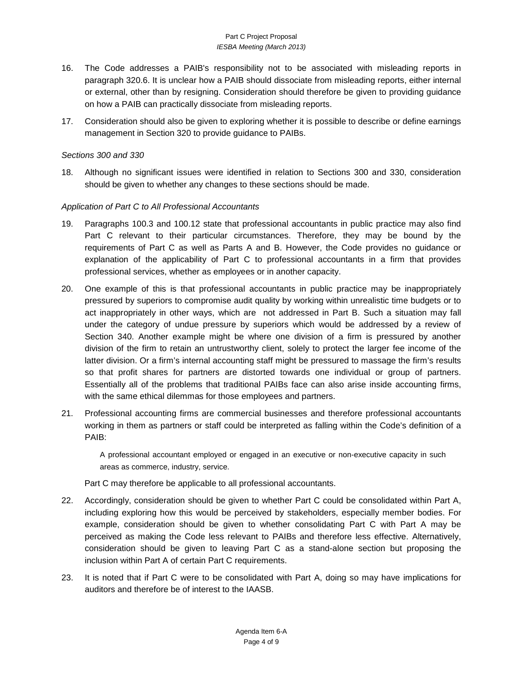#### Part C Project Proposal *IESBA Meeting (March 2013)*

- 16. The Code addresses a PAIB's responsibility not to be associated with misleading reports in paragraph 320.6. It is unclear how a PAIB should dissociate from misleading reports, either internal or external, other than by resigning. Consideration should therefore be given to providing guidance on how a PAIB can practically dissociate from misleading reports.
- 17. Consideration should also be given to exploring whether it is possible to describe or define earnings management in Section 320 to provide guidance to PAIBs.

#### *Sections 300 and 330*

18. Although no significant issues were identified in relation to Sections 300 and 330, consideration should be given to whether any changes to these sections should be made.

#### *Application of Part C to All Professional Accountants*

- 19. Paragraphs 100.3 and 100.12 state that professional accountants in public practice may also find Part C relevant to their particular circumstances. Therefore, they may be bound by the requirements of Part C as well as Parts A and B. However, the Code provides no guidance or explanation of the applicability of Part C to professional accountants in a firm that provides professional services, whether as employees or in another capacity.
- 20. One example of this is that professional accountants in public practice may be inappropriately pressured by superiors to compromise audit quality by working within unrealistic time budgets or to act inappropriately in other ways, which are not addressed in Part B. Such a situation may fall under the category of undue pressure by superiors which would be addressed by a review of Section 340. Another example might be where one division of a firm is pressured by another division of the firm to retain an untrustworthy client, solely to protect the larger fee income of the latter division. Or a firm's internal accounting staff might be pressured to massage the firm's results so that profit shares for partners are distorted towards one individual or group of partners. Essentially all of the problems that traditional PAIBs face can also arise inside accounting firms, with the same ethical dilemmas for those employees and partners.
- 21. Professional accounting firms are commercial businesses and therefore professional accountants working in them as partners or staff could be interpreted as falling within the Code's definition of a PAIB:

A professional accountant employed or engaged in an executive or non-executive capacity in such areas as commerce, industry, service.

Part C may therefore be applicable to all professional accountants.

- 22. Accordingly, consideration should be given to whether Part C could be consolidated within Part A, including exploring how this would be perceived by stakeholders, especially member bodies. For example, consideration should be given to whether consolidating Part C with Part A may be perceived as making the Code less relevant to PAIBs and therefore less effective. Alternatively, consideration should be given to leaving Part C as a stand-alone section but proposing the inclusion within Part A of certain Part C requirements.
- 23. It is noted that if Part C were to be consolidated with Part A, doing so may have implications for auditors and therefore be of interest to the IAASB.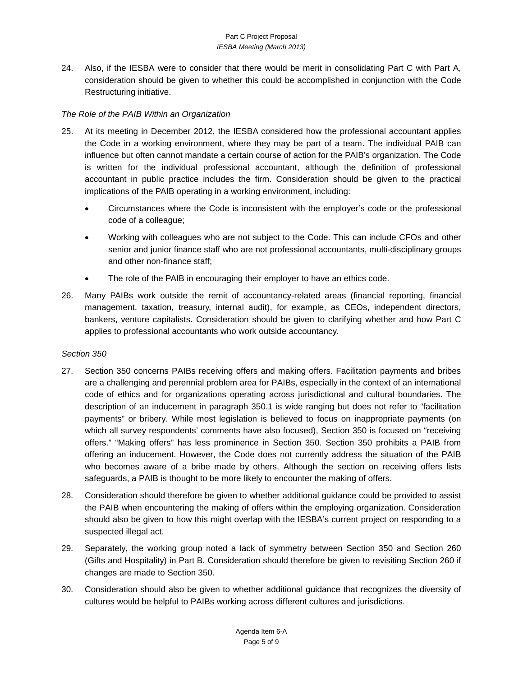24. Also, if the IESBA were to consider that there would be merit in consolidating Part C with Part A, consideration should be given to whether this could be accomplished in conjunction with the Code Restructuring initiative.

#### *The Role of the PAIB Within an Organization*

- 25. At its meeting in December 2012, the IESBA considered how the professional accountant applies the Code in a working environment, where they may be part of a team. The individual PAIB can influence but often cannot mandate a certain course of action for the PAIB's organization. The Code is written for the individual professional accountant, although the definition of professional accountant in public practice includes the firm. Consideration should be given to the practical implications of the PAIB operating in a working environment, including:
	- Circumstances where the Code is inconsistent with the employer's code or the professional code of a colleague;
	- Working with colleagues who are not subject to the Code. This can include CFOs and other senior and junior finance staff who are not professional accountants, multi-disciplinary groups and other non-finance staff;
	- The role of the PAIB in encouraging their employer to have an ethics code.
- 26. Many PAIBs work outside the remit of accountancy-related areas (financial reporting, financial management, taxation, treasury, internal audit), for example, as CEOs, independent directors, bankers, venture capitalists. Consideration should be given to clarifying whether and how Part C applies to professional accountants who work outside accountancy.

#### *Section 350*

- 27. Section 350 concerns PAIBs receiving offers and making offers. Facilitation payments and bribes are a challenging and perennial problem area for PAIBs, especially in the context of an international code of ethics and for organizations operating across jurisdictional and cultural boundaries. The description of an inducement in paragraph 350.1 is wide ranging but does not refer to "facilitation payments" or bribery. While most legislation is believed to focus on inappropriate payments (on which all survey respondents' comments have also focused), Section 350 is focused on "receiving offers." "Making offers" has less prominence in Section 350. Section 350 prohibits a PAIB from offering an inducement. However, the Code does not currently address the situation of the PAIB who becomes aware of a bribe made by others. Although the section on receiving offers lists safeguards, a PAIB is thought to be more likely to encounter the making of offers.
- 28. Consideration should therefore be given to whether additional guidance could be provided to assist the PAIB when encountering the making of offers within the employing organization. Consideration should also be given to how this might overlap with the IESBA's current project on responding to a suspected illegal act.
- 29. Separately, the working group noted a lack of symmetry between Section 350 and Section 260 (Gifts and Hospitality) in Part B. Consideration should therefore be given to revisiting Section 260 if changes are made to Section 350.
- 30. Consideration should also be given to whether additional guidance that recognizes the diversity of cultures would be helpful to PAIBs working across different cultures and jurisdictions.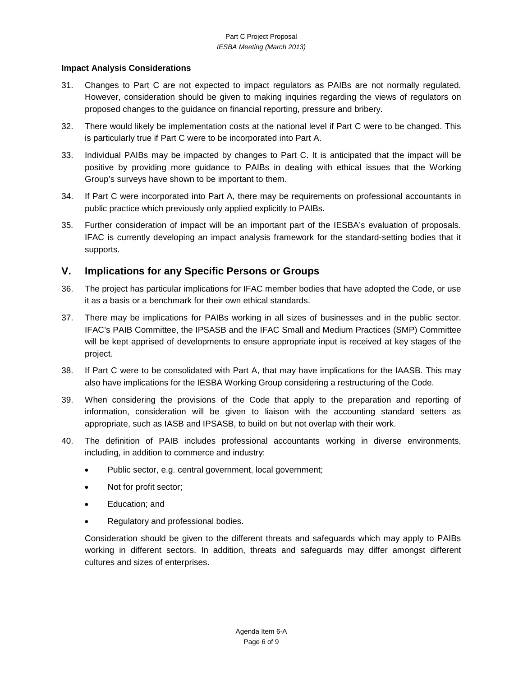#### **Impact Analysis Considerations**

- 31. Changes to Part C are not expected to impact regulators as PAIBs are not normally regulated. However, consideration should be given to making inquiries regarding the views of regulators on proposed changes to the guidance on financial reporting, pressure and bribery.
- 32. There would likely be implementation costs at the national level if Part C were to be changed. This is particularly true if Part C were to be incorporated into Part A.
- 33. Individual PAIBs may be impacted by changes to Part C. It is anticipated that the impact will be positive by providing more guidance to PAIBs in dealing with ethical issues that the Working Group's surveys have shown to be important to them.
- 34. If Part C were incorporated into Part A, there may be requirements on professional accountants in public practice which previously only applied explicitly to PAIBs.
- 35. Further consideration of impact will be an important part of the IESBA's evaluation of proposals. IFAC is currently developing an impact analysis framework for the standard-setting bodies that it supports.

## **V. Implications for any Specific Persons or Groups**

- 36. The project has particular implications for IFAC member bodies that have adopted the Code, or use it as a basis or a benchmark for their own ethical standards.
- 37. There may be implications for PAIBs working in all sizes of businesses and in the public sector. IFAC's PAIB Committee, the IPSASB and the IFAC Small and Medium Practices (SMP) Committee will be kept apprised of developments to ensure appropriate input is received at key stages of the project.
- 38. If Part C were to be consolidated with Part A, that may have implications for the IAASB. This may also have implications for the IESBA Working Group considering a restructuring of the Code.
- 39. When considering the provisions of the Code that apply to the preparation and reporting of information, consideration will be given to liaison with the accounting standard setters as appropriate, such as IASB and IPSASB, to build on but not overlap with their work.
- 40. The definition of PAIB includes professional accountants working in diverse environments, including, in addition to commerce and industry:
	- Public sector, e.g. central government, local government;
	- Not for profit sector;
	- Education; and
	- Regulatory and professional bodies.

Consideration should be given to the different threats and safeguards which may apply to PAIBs working in different sectors. In addition, threats and safeguards may differ amongst different cultures and sizes of enterprises.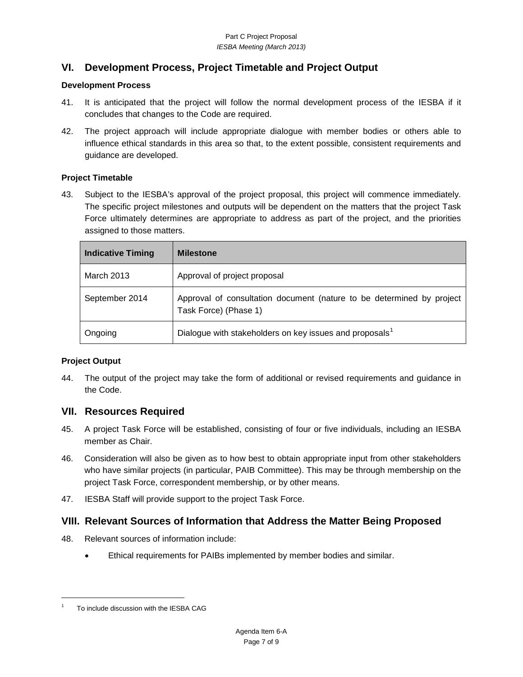# **VI. Development Process, Project Timetable and Project Output**

### **Development Process**

- 41. It is anticipated that the project will follow the normal development process of the IESBA if it concludes that changes to the Code are required.
- 42. The project approach will include appropriate dialogue with member bodies or others able to influence ethical standards in this area so that, to the extent possible, consistent requirements and guidance are developed.

## **Project Timetable**

43. Subject to the IESBA's approval of the project proposal, this project will commence immediately. The specific project milestones and outputs will be dependent on the matters that the project Task Force ultimately determines are appropriate to address as part of the project, and the priorities assigned to those matters.

| <b>Indicative Timing</b> | <b>Milestone</b>                                                                               |
|--------------------------|------------------------------------------------------------------------------------------------|
| March 2013               | Approval of project proposal                                                                   |
| September 2014           | Approval of consultation document (nature to be determined by project<br>Task Force) (Phase 1) |
| Ongoing                  | Dialogue with stakeholders on key issues and proposals <sup>1</sup>                            |

## **Project Output**

44. The output of the project may take the form of additional or revised requirements and guidance in the Code.

## **VII. Resources Required**

- 45. A project Task Force will be established, consisting of four or five individuals, including an IESBA member as Chair.
- 46. Consideration will also be given as to how best to obtain appropriate input from other stakeholders who have similar projects (in particular, PAIB Committee). This may be through membership on the project Task Force, correspondent membership, or by other means.
- 47. IESBA Staff will provide support to the project Task Force.

## **VIII. Relevant Sources of Information that Address the Matter Being Proposed**

- 48. Relevant sources of information include:
	- Ethical requirements for PAIBs implemented by member bodies and similar.

 $\overline{\phantom{a}}$ 

<span id="page-6-0"></span><sup>1</sup> To include discussion with the IESBA CAG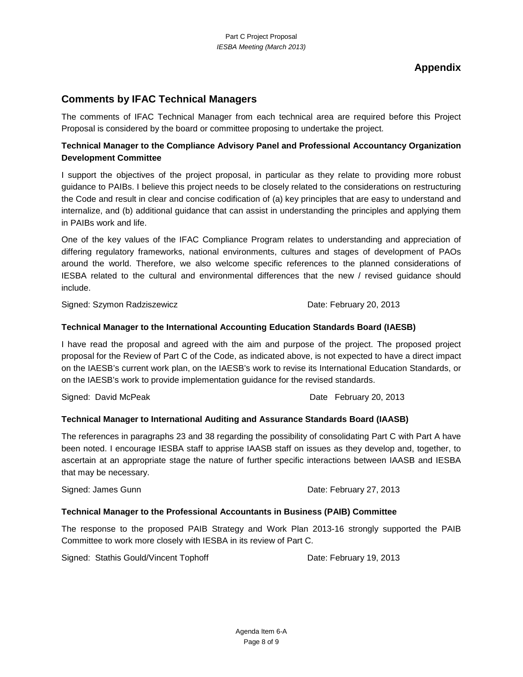**Appendix**

## **Comments by IFAC Technical Managers**

The comments of IFAC Technical Manager from each technical area are required before this Project Proposal is considered by the board or committee proposing to undertake the project.

## **Technical Manager to the Compliance Advisory Panel and Professional Accountancy Organization Development Committee**

I support the objectives of the project proposal, in particular as they relate to providing more robust guidance to PAIBs. I believe this project needs to be closely related to the considerations on restructuring the Code and result in clear and concise codification of (a) key principles that are easy to understand and internalize, and (b) additional guidance that can assist in understanding the principles and applying them in PAIBs work and life.

One of the key values of the IFAC Compliance Program relates to understanding and appreciation of differing regulatory frameworks, national environments, cultures and stages of development of PAOs around the world. Therefore, we also welcome specific references to the planned considerations of IESBA related to the cultural and environmental differences that the new / revised guidance should include.

Signed: Szymon Radziszewicz **Date: February 20, 2013** 

### **Technical Manager to the International Accounting Education Standards Board (IAESB)**

I have read the proposal and agreed with the aim and purpose of the project. The proposed project proposal for the Review of Part C of the Code, as indicated above, is not expected to have a direct impact on the IAESB's current work plan, on the IAESB's work to revise its International Education Standards, or on the IAESB's work to provide implementation guidance for the revised standards.

Signed: David McPeak Date February 20, 2013

#### **Technical Manager to International Auditing and Assurance Standards Board (IAASB)**

The references in paragraphs 23 and 38 regarding the possibility of consolidating Part C with Part A have been noted. I encourage IESBA staff to apprise IAASB staff on issues as they develop and, together, to ascertain at an appropriate stage the nature of further specific interactions between IAASB and IESBA that may be necessary.

Signed: James Gunn **Date: February 27, 2013** 

#### **Technical Manager to the Professional Accountants in Business (PAIB) Committee**

The response to the proposed PAIB Strategy and Work Plan 2013-16 strongly supported the PAIB Committee to work more closely with IESBA in its review of Part C.

Signed: Stathis Gould/Vincent Tophoff Date: February 19, 2013